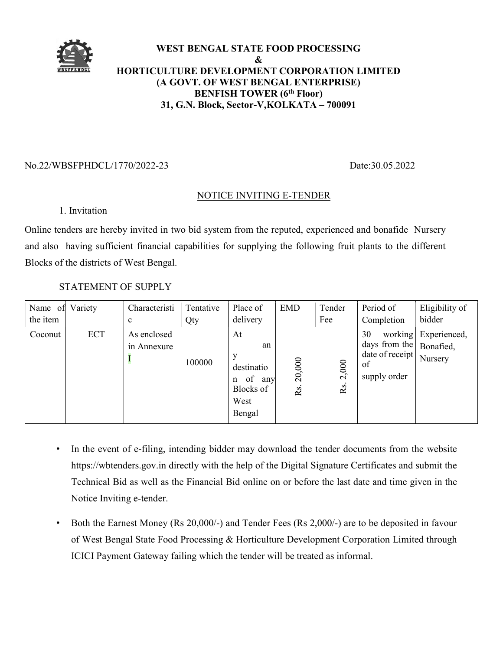

## WEST BENGAL STATE FOOD PROCESSING  $\&$ HORTICULTURE DEVELOPMENT CORPORATION LIMITED (A GOVT. OF WEST BENGAL ENTERPRISE) BENFISH TOWER (6<sup>th</sup> Floor) 31, G.N. Block, Sector-V, KOLKATA – 700091

## No.22/WBSFPHDCL/1770/2022-23 Date:30.05.2022

## NOTICE INVITING E-TENDER

#### 1. Invitation

Online tenders are hereby invited in two bid system from the reputed, experienced and bonafide Nursery and also having sufficient financial capabilities for supplying the following fruit plants to the different Blocks of the districts of West Bengal.

| Name of<br>the item | Variety    | Characteristi<br>$\mathbf c$ | Tentative<br>Qty | Place of<br>delivery                                                                   | <b>EMD</b>                     | Tender<br>Fee | Period of<br>Completion                                                                       | Eligibility of<br>bidder |
|---------------------|------------|------------------------------|------------------|----------------------------------------------------------------------------------------|--------------------------------|---------------|-----------------------------------------------------------------------------------------------|--------------------------|
| Coconut             | <b>ECT</b> | As enclosed<br>in Annexure   | 100000           | At<br>an<br>у<br>destinatio<br>of<br>any<br>$\mathbf n$<br>Blocks of<br>West<br>Bengal | 20,000<br>$\mathbf{\tilde{g}}$ | 2,000<br>Rs.  | 30<br>days from the Bonafied,<br>$\frac{d}{dx}$ date of receipt Nursery<br>of<br>supply order | working Experienced,     |

## STATEMENT OF SUPPLY

- In the event of e-filing, intending bidder may download the tender documents from the website https://wbtenders.gov.in directly with the help of the Digital Signature Certificates and submit the Technical Bid as well as the Financial Bid online on or before the last date and time given in the Notice Inviting e-tender.
- Both the Earnest Money (Rs 20,000/-) and Tender Fees (Rs 2,000/-) are to be deposited in favour of West Bengal State Food Processing & Horticulture Development Corporation Limited through ICICI Payment Gateway failing which the tender will be treated as informal.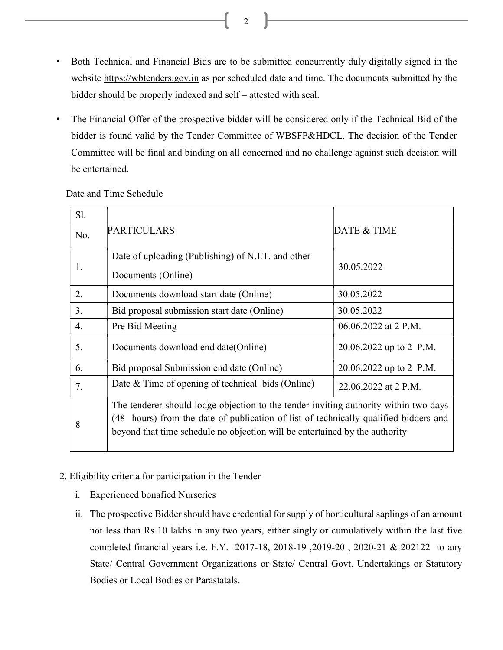- Both Technical and Financial Bids are to be submitted concurrently duly digitally signed in the website https://wbtenders.gov.in as per scheduled date and time. The documents submitted by the bidder should be properly indexed and self – attested with seal.
- The Financial Offer of the prospective bidder will be considered only if the Technical Bid of the bidder is found valid by the Tender Committee of WBSFP&HDCL. The decision of the Tender Committee will be final and binding on all concerned and no challenge against such decision will be entertained.

| Sl.<br>No. | PARTICULARS                                                                                                                                                                                                                                                 | DATE & TIME             |  |
|------------|-------------------------------------------------------------------------------------------------------------------------------------------------------------------------------------------------------------------------------------------------------------|-------------------------|--|
| 1.         | Date of uploading (Publishing) of N.I.T. and other<br>Documents (Online)                                                                                                                                                                                    | 30.05.2022              |  |
| 2.         | Documents download start date (Online)                                                                                                                                                                                                                      | 30.05.2022              |  |
| 3.         | Bid proposal submission start date (Online)                                                                                                                                                                                                                 | 30.05.2022              |  |
| 4.         | Pre Bid Meeting                                                                                                                                                                                                                                             | $06.06.2022$ at 2 P.M.  |  |
| 5.         | Documents download end date (Online)                                                                                                                                                                                                                        | 20.06.2022 up to 2 P.M. |  |
| 6.         | Bid proposal Submission end date (Online)                                                                                                                                                                                                                   | 20.06.2022 up to 2 P.M. |  |
| 7.         | Date & Time of opening of technical bids (Online)                                                                                                                                                                                                           | 22.06.2022 at 2 P.M.    |  |
| 8          | The tenderer should lodge objection to the tender inviting authority within two days<br>(48 hours) from the date of publication of list of technically qualified bidders and<br>beyond that time schedule no objection will be entertained by the authority |                         |  |

#### Date and Time Schedule

## 2. Eligibility criteria for participation in the Tender

- i. Experienced bonafied Nurseries
- ii. The prospective Bidder should have credential for supply of horticultural saplings of an amount not less than Rs 10 lakhs in any two years, either singly or cumulatively within the last five completed financial years i.e. F.Y. 2017-18, 2018-19 ,2019-20 , 2020-21 & 202122 to any State/ Central Government Organizations or State/ Central Govt. Undertakings or Statutory Bodies or Local Bodies or Parastatals.

2  $\qquad \qquad$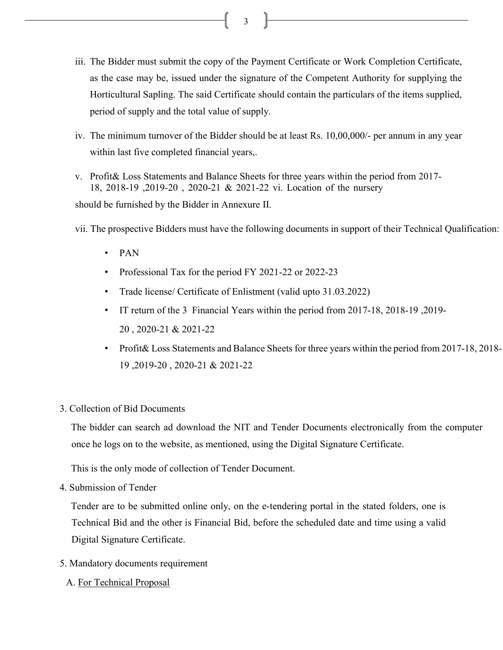- iii. The Bidder must submit the copy of the Payment Certificate or Work Completion Certificate, as the case may be, issued under the signature of the Competent Authority for supplying the Horticultural Sapling. The said Certificate should contain the particulars of the items supplied, period of supply and the total value of supply.
- iv. The minimum turnover of the Bidder should be at least Rs. 10,00,000/- per annum in any year within last five completed financial years,.
- v. Profit& Loss Statements and Balance Sheets for three years within the period from 2017- 18, 2018-19 ,2019-20 , 2020-21 & 2021-22 vi. Location of the nursery

should be furnished by the Bidder in Annexure II.

vii. The prospective Bidders must have the following documents in support of their Technical Qualification:

- PAN
- Professional Tax for the period FY 2021-22 or 2022-23
- Trade license/ Certificate of Enlistment (valid upto 31.03.2022)
- IT return of the 3 Financial Years within the period from 2017-18, 2018-19 ,2019- 20 , 2020-21 & 2021-22
- Profit& Loss Statements and Balance Sheets for three years within the period from 2017-18, 2018- 19 ,2019-20 , 2020-21 & 2021-22
- 3. Collection of Bid Documents

The bidder can search ad download the NIT and Tender Documents electronically from the computer once he logs on to the website, as mentioned, using the Digital Signature Certificate.

This is the only mode of collection of Tender Document.

4. Submission of Tender

Tender are to be submitted online only, on the e-tendering portal in the stated folders, one is Technical Bid and the other is Financial Bid, before the scheduled date and time using a valid Digital Signature Certificate.

- 5. Mandatory documents requirement
	- A. For Technical Proposal

 $\overline{3}$   $\overline{)$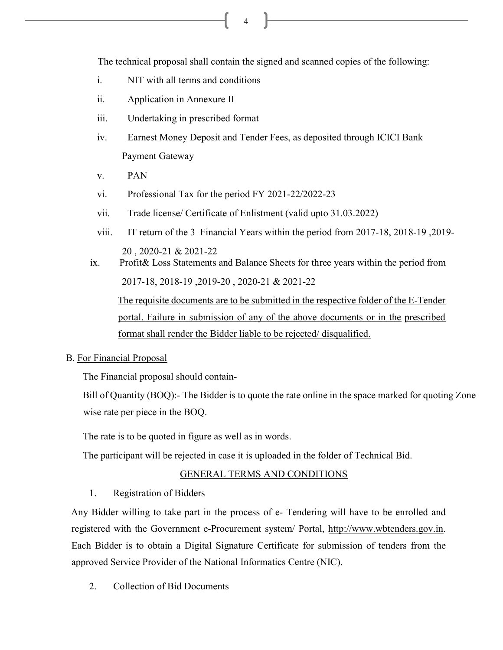4

The technical proposal shall contain the signed and scanned copies of the following:

- i. NIT with all terms and conditions
- ii. Application in Annexure II
- iii. Undertaking in prescribed format
- iv. Earnest Money Deposit and Tender Fees, as deposited through ICICI Bank Payment Gateway
- v. PAN
- vi. Professional Tax for the period FY 2021-22/2022-23
- vii. Trade license/ Certificate of Enlistment (valid upto 31.03.2022)
- viii. IT return of the 3 Financial Years within the period from 2017-18, 2018-19, 2019-20 , 2020-21 & 2021-22
- ix. Profit& Loss Statements and Balance Sheets for three years within the period from 2017-18, 2018-19 ,2019-20 , 2020-21 & 2021-22 The requisite documents are to be submitted in the respective folder of the E-Tender

portal. Failure in submission of any of the above documents or in the prescribed format shall render the Bidder liable to be rejected/ disqualified.

#### B. For Financial Proposal

The Financial proposal should contain-

Bill of Quantity (BOQ):- The Bidder is to quote the rate online in the space marked for quoting Zone wise rate per piece in the BOQ.

The rate is to be quoted in figure as well as in words.

The participant will be rejected in case it is uploaded in the folder of Technical Bid.

#### GENERAL TERMS AND CONDITIONS

1. Registration of Bidders

Any Bidder willing to take part in the process of e- Tendering will have to be enrolled and registered with the Government e-Procurement system/ Portal, http://www.wbtenders.gov.in. Each Bidder is to obtain a Digital Signature Certificate for submission of tenders from the approved Service Provider of the National Informatics Centre (NIC).

2. Collection of Bid Documents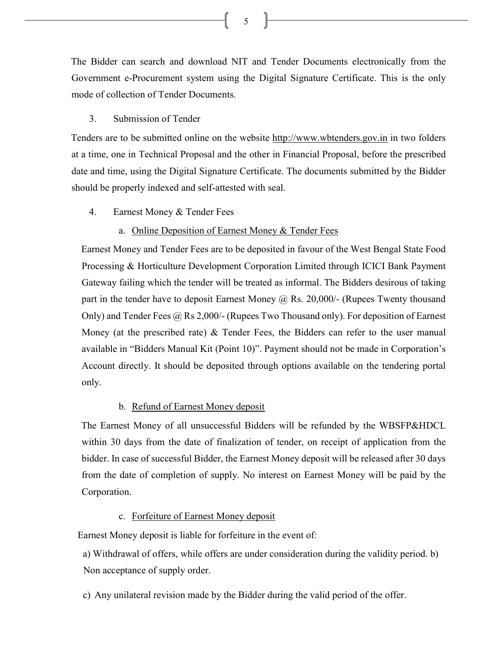The Bidder can search and download NIT and Tender Documents electronically from the Government e-Procurement system using the Digital Signature Certificate. This is the only mode of collection of Tender Documents.

#### 3. Submission of Tender

Tenders are to be submitted online on the website http://www.wbtenders.gov.in in two folders at a time, one in Technical Proposal and the other in Financial Proposal, before the prescribed date and time, using the Digital Signature Certificate. The documents submitted by the Bidder should be properly indexed and self-attested with seal.

4. Earnest Money & Tender Fees

#### a. Online Deposition of Earnest Money & Tender Fees

Earnest Money and Tender Fees are to be deposited in favour of the West Bengal State Food Processing & Horticulture Development Corporation Limited through ICICI Bank Payment Gateway failing which the tender will be treated as informal. The Bidders desirous of taking part in the tender have to deposit Earnest Money @ Rs. 20,000/- (Rupees Twenty thousand Only) and Tender Fees @ Rs 2,000/- (Rupees Two Thousand only). For deposition of Earnest Money (at the prescribed rate) & Tender Fees, the Bidders can refer to the user manual available in "Bidders Manual Kit (Point 10)". Payment should not be made in Corporation's Account directly. It should be deposited through options available on the tendering portal only.

#### b. Refund of Earnest Money deposit

The Earnest Money of all unsuccessful Bidders will be refunded by the WBSFP&HDCL within 30 days from the date of finalization of tender, on receipt of application from the bidder. In case of successful Bidder, the Earnest Money deposit will be released after 30 days from the date of completion of supply. No interest on Earnest Money will be paid by the Corporation.

#### c. Forfeiture of Earnest Money deposit

Earnest Money deposit is liable for forfeiture in the event of:

a) Withdrawal of offers, while offers are under consideration during the validity period. b) Non acceptance of supply order.

c) Any unilateral revision made by the Bidder during the valid period of the offer.

 $\sqrt{5}$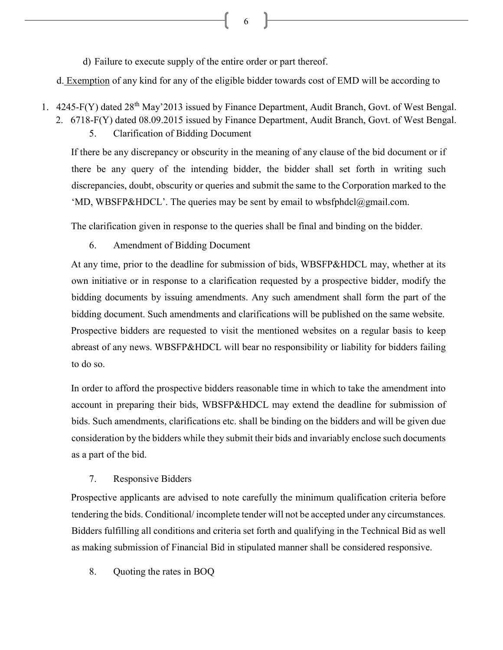6

d) Failure to execute supply of the entire order or part thereof.

d. Exemption of any kind for any of the eligible bidder towards cost of EMD will be according to

- 1. 4245-F(Y) dated 28<sup>th</sup> May'2013 issued by Finance Department, Audit Branch, Govt. of West Bengal. 2. 6718-F(Y) dated 08.09.2015 issued by Finance Department, Audit Branch, Govt. of West Bengal.
	- 5. Clarification of Bidding Document

If there be any discrepancy or obscurity in the meaning of any clause of the bid document or if there be any query of the intending bidder, the bidder shall set forth in writing such discrepancies, doubt, obscurity or queries and submit the same to the Corporation marked to the 'MD, WBSFP&HDCL'. The queries may be sent by email to wbsfphdcl $@g$ gmail.com.

The clarification given in response to the queries shall be final and binding on the bidder.

6. Amendment of Bidding Document

At any time, prior to the deadline for submission of bids, WBSFP&HDCL may, whether at its own initiative or in response to a clarification requested by a prospective bidder, modify the bidding documents by issuing amendments. Any such amendment shall form the part of the bidding document. Such amendments and clarifications will be published on the same website. Prospective bidders are requested to visit the mentioned websites on a regular basis to keep abreast of any news. WBSFP&HDCL will bear no responsibility or liability for bidders failing to do so.

In order to afford the prospective bidders reasonable time in which to take the amendment into account in preparing their bids, WBSFP&HDCL may extend the deadline for submission of bids. Such amendments, clarifications etc. shall be binding on the bidders and will be given due consideration by the bidders while they submit their bids and invariably enclose such documents as a part of the bid.

#### 7. Responsive Bidders

Prospective applicants are advised to note carefully the minimum qualification criteria before tendering the bids. Conditional/ incomplete tender will not be accepted under any circumstances. Bidders fulfilling all conditions and criteria set forth and qualifying in the Technical Bid as well as making submission of Financial Bid in stipulated manner shall be considered responsive.

8. Quoting the rates in BOQ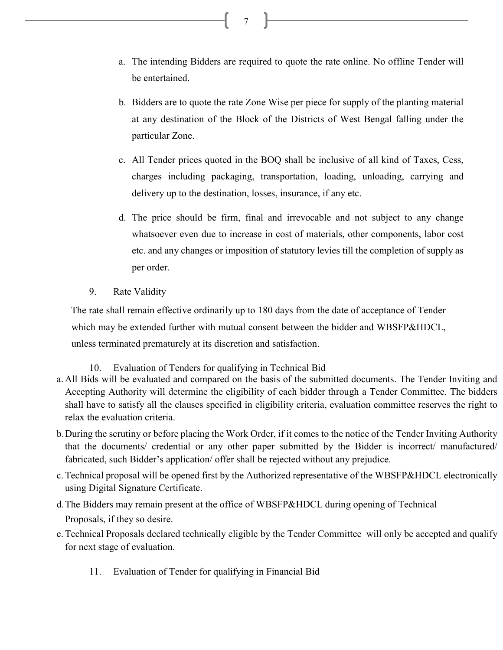- a. The intending Bidders are required to quote the rate online. No offline Tender will be entertained.
- b. Bidders are to quote the rate Zone Wise per piece for supply of the planting material at any destination of the Block of the Districts of West Bengal falling under the particular Zone.
- c. All Tender prices quoted in the BOQ shall be inclusive of all kind of Taxes, Cess, charges including packaging, transportation, loading, unloading, carrying and delivery up to the destination, losses, insurance, if any etc.
- d. The price should be firm, final and irrevocable and not subject to any change whatsoever even due to increase in cost of materials, other components, labor cost etc. and any changes or imposition of statutory levies till the completion of supply as per order.
- 9. Rate Validity

The rate shall remain effective ordinarily up to 180 days from the date of acceptance of Tender which may be extended further with mutual consent between the bidder and WBSFP&HDCL, unless terminated prematurely at its discretion and satisfaction.

- 10. Evaluation of Tenders for qualifying in Technical Bid
- a. All Bids will be evaluated and compared on the basis of the submitted documents. The Tender Inviting and Accepting Authority will determine the eligibility of each bidder through a Tender Committee. The bidders shall have to satisfy all the clauses specified in eligibility criteria, evaluation committee reserves the right to relax the evaluation criteria.
- b.During the scrutiny or before placing the Work Order, if it comes to the notice of the Tender Inviting Authority that the documents/ credential or any other paper submitted by the Bidder is incorrect/ manufactured/ fabricated, such Bidder's application/ offer shall be rejected without any prejudice.
- c.Technical proposal will be opened first by the Authorized representative of the WBSFP&HDCL electronically using Digital Signature Certificate.
- d.The Bidders may remain present at the office of WBSFP&HDCL during opening of Technical Proposals, if they so desire.
- e.Technical Proposals declared technically eligible by the Tender Committee will only be accepted and qualify for next stage of evaluation.
	- 11. Evaluation of Tender for qualifying in Financial Bid

7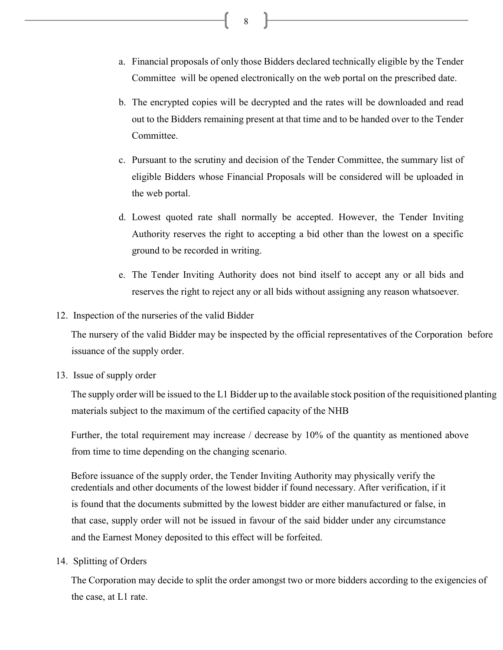- a. Financial proposals of only those Bidders declared technically eligible by the Tender Committee will be opened electronically on the web portal on the prescribed date.
	- b. The encrypted copies will be decrypted and the rates will be downloaded and read out to the Bidders remaining present at that time and to be handed over to the Tender Committee.
	- c. Pursuant to the scrutiny and decision of the Tender Committee, the summary list of eligible Bidders whose Financial Proposals will be considered will be uploaded in the web portal.
	- d. Lowest quoted rate shall normally be accepted. However, the Tender Inviting Authority reserves the right to accepting a bid other than the lowest on a specific ground to be recorded in writing.
	- e. The Tender Inviting Authority does not bind itself to accept any or all bids and reserves the right to reject any or all bids without assigning any reason whatsoever.
- 12. Inspection of the nurseries of the valid Bidder

The nursery of the valid Bidder may be inspected by the official representatives of the Corporation before issuance of the supply order.

13. Issue of supply order

The supply order will be issued to the L1 Bidder up to the available stock position of the requisitioned planting materials subject to the maximum of the certified capacity of the NHB

Further, the total requirement may increase / decrease by 10% of the quantity as mentioned above from time to time depending on the changing scenario.

Before issuance of the supply order, the Tender Inviting Authority may physically verify the credentials and other documents of the lowest bidder if found necessary. After verification, if it is found that the documents submitted by the lowest bidder are either manufactured or false, in that case, supply order will not be issued in favour of the said bidder under any circumstance and the Earnest Money deposited to this effect will be forfeited.

14. Splitting of Orders

The Corporation may decide to split the order amongst two or more bidders according to the exigencies of the case, at L1 rate.

8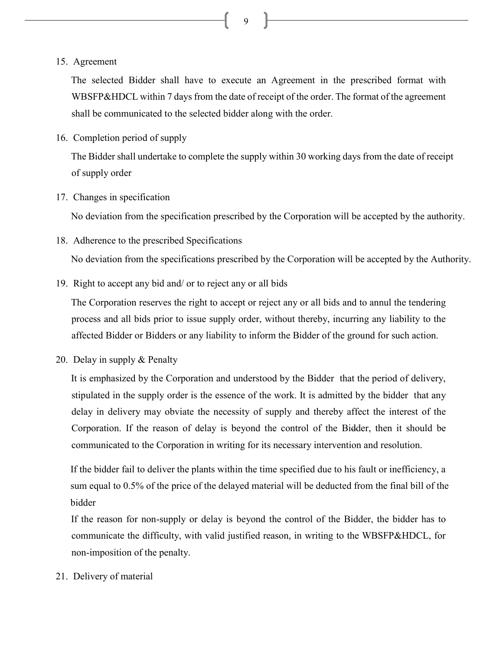9  $\qquad \qquad$ 

15. Agreement

The selected Bidder shall have to execute an Agreement in the prescribed format with WBSFP&HDCL within 7 days from the date of receipt of the order. The format of the agreement shall be communicated to the selected bidder along with the order.

16. Completion period of supply

The Bidder shall undertake to complete the supply within 30 working days from the date of receipt of supply order

17. Changes in specification

No deviation from the specification prescribed by the Corporation will be accepted by the authority.

18. Adherence to the prescribed Specifications

No deviation from the specifications prescribed by the Corporation will be accepted by the Authority.

19. Right to accept any bid and/ or to reject any or all bids

The Corporation reserves the right to accept or reject any or all bids and to annul the tendering process and all bids prior to issue supply order, without thereby, incurring any liability to the affected Bidder or Bidders or any liability to inform the Bidder of the ground for such action.

20. Delay in supply & Penalty

It is emphasized by the Corporation and understood by the Bidder that the period of delivery, stipulated in the supply order is the essence of the work. It is admitted by the bidder that any delay in delivery may obviate the necessity of supply and thereby affect the interest of the Corporation. If the reason of delay is beyond the control of the Bidder, then it should be communicated to the Corporation in writing for its necessary intervention and resolution.

If the bidder fail to deliver the plants within the time specified due to his fault or inefficiency, a sum equal to 0.5% of the price of the delayed material will be deducted from the final bill of the bidder

If the reason for non-supply or delay is beyond the control of the Bidder, the bidder has to communicate the difficulty, with valid justified reason, in writing to the WBSFP&HDCL, for non-imposition of the penalty.

21. Delivery of material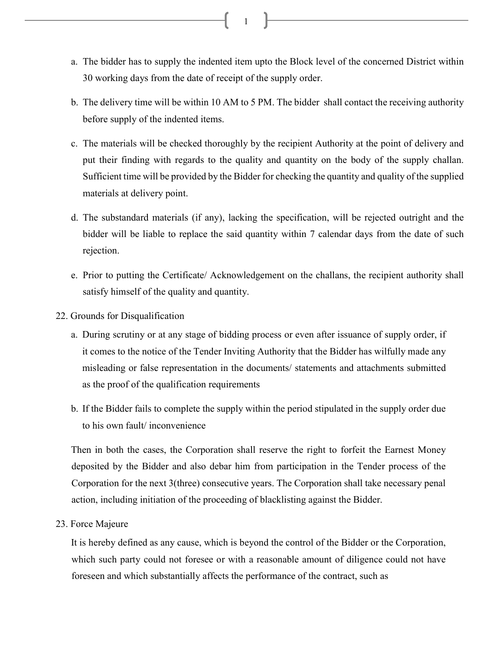- a. The bidder has to supply the indented item upto the Block level of the concerned District within 30 working days from the date of receipt of the supply order.
- b. The delivery time will be within 10 AM to 5 PM. The bidder shall contact the receiving authority before supply of the indented items.
- c. The materials will be checked thoroughly by the recipient Authority at the point of delivery and put their finding with regards to the quality and quantity on the body of the supply challan. Sufficient time will be provided by the Bidder for checking the quantity and quality of the supplied materials at delivery point.
- d. The substandard materials (if any), lacking the specification, will be rejected outright and the bidder will be liable to replace the said quantity within 7 calendar days from the date of such rejection.
- e. Prior to putting the Certificate/ Acknowledgement on the challans, the recipient authority shall satisfy himself of the quality and quantity.
- 22. Grounds for Disqualification
	- a. During scrutiny or at any stage of bidding process or even after issuance of supply order, if it comes to the notice of the Tender Inviting Authority that the Bidder has wilfully made any misleading or false representation in the documents/ statements and attachments submitted as the proof of the qualification requirements
	- b. If the Bidder fails to complete the supply within the period stipulated in the supply order due to his own fault/ inconvenience

Then in both the cases, the Corporation shall reserve the right to forfeit the Earnest Money deposited by the Bidder and also debar him from participation in the Tender process of the Corporation for the next 3(three) consecutive years. The Corporation shall take necessary penal action, including initiation of the proceeding of blacklisting against the Bidder.

23. Force Majeure

It is hereby defined as any cause, which is beyond the control of the Bidder or the Corporation, which such party could not foresee or with a reasonable amount of diligence could not have foreseen and which substantially affects the performance of the contract, such as

 $1 \quad \boxed{\qquad \qquad }$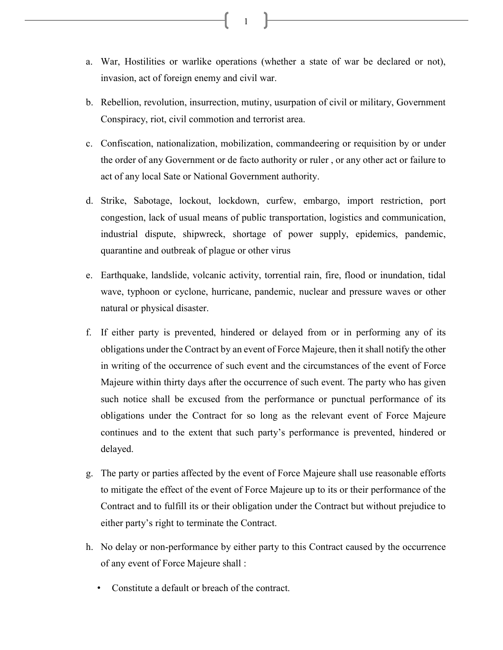- a. War, Hostilities or warlike operations (whether a state of war be declared or not), invasion, act of foreign enemy and civil war.
- b. Rebellion, revolution, insurrection, mutiny, usurpation of civil or military, Government Conspiracy, riot, civil commotion and terrorist area.
- c. Confiscation, nationalization, mobilization, commandeering or requisition by or under the order of any Government or de facto authority or ruler , or any other act or failure to act of any local Sate or National Government authority.
- d. Strike, Sabotage, lockout, lockdown, curfew, embargo, import restriction, port congestion, lack of usual means of public transportation, logistics and communication, industrial dispute, shipwreck, shortage of power supply, epidemics, pandemic, quarantine and outbreak of plague or other virus
- e. Earthquake, landslide, volcanic activity, torrential rain, fire, flood or inundation, tidal wave, typhoon or cyclone, hurricane, pandemic, nuclear and pressure waves or other natural or physical disaster.
- f. If either party is prevented, hindered or delayed from or in performing any of its obligations under the Contract by an event of Force Majeure, then it shall notify the other in writing of the occurrence of such event and the circumstances of the event of Force Majeure within thirty days after the occurrence of such event. The party who has given such notice shall be excused from the performance or punctual performance of its obligations under the Contract for so long as the relevant event of Force Majeure continues and to the extent that such party's performance is prevented, hindered or delayed.
- g. The party or parties affected by the event of Force Majeure shall use reasonable efforts to mitigate the effect of the event of Force Majeure up to its or their performance of the Contract and to fulfill its or their obligation under the Contract but without prejudice to either party's right to terminate the Contract.
- h. No delay or non-performance by either party to this Contract caused by the occurrence of any event of Force Majeure shall :
	- Constitute a default or breach of the contract.

 $1 \quad \boxed{\qquad \qquad }$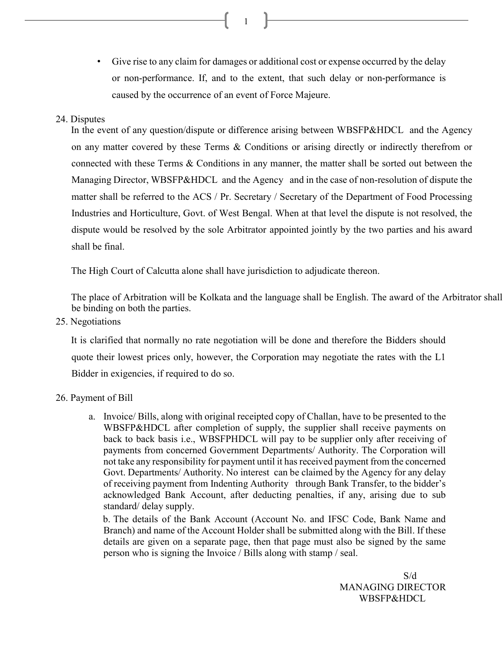• Give rise to any claim for damages or additional cost or expense occurred by the delay or non-performance. If, and to the extent, that such delay or non-performance is caused by the occurrence of an event of Force Majeure.

#### 24. Disputes

In the event of any question/dispute or difference arising between WBSFP&HDCL and the Agency on any matter covered by these Terms & Conditions or arising directly or indirectly therefrom or connected with these Terms & Conditions in any manner, the matter shall be sorted out between the Managing Director, WBSFP&HDCL and the Agency and in the case of non-resolution of dispute the matter shall be referred to the ACS / Pr. Secretary / Secretary of the Department of Food Processing Industries and Horticulture, Govt. of West Bengal. When at that level the dispute is not resolved, the dispute would be resolved by the sole Arbitrator appointed jointly by the two parties and his award shall be final.

The High Court of Calcutta alone shall have jurisdiction to adjudicate thereon.

The place of Arbitration will be Kolkata and the language shall be English. The award of the Arbitrator shall be binding on both the parties.

25. Negotiations

It is clarified that normally no rate negotiation will be done and therefore the Bidders should quote their lowest prices only, however, the Corporation may negotiate the rates with the L1 Bidder in exigencies, if required to do so.

#### 26. Payment of Bill

a. Invoice/ Bills, along with original receipted copy of Challan, have to be presented to the WBSFP&HDCL after completion of supply, the supplier shall receive payments on back to back basis i.e., WBSFPHDCL will pay to be supplier only after receiving of payments from concerned Government Departments/ Authority. The Corporation will not take any responsibility for payment until it has received payment from the concerned Govt. Departments/ Authority. No interest can be claimed by the Agency for any delay of receiving payment from Indenting Authority through Bank Transfer, to the bidder's acknowledged Bank Account, after deducting penalties, if any, arising due to sub standard/ delay supply.

b. The details of the Bank Account (Account No. and IFSC Code, Bank Name and Branch) and name of the Account Holder shall be submitted along with the Bill. If these details are given on a separate page, then that page must also be signed by the same person who is signing the Invoice / Bills along with stamp / seal.

 $1 \quad \boxed{\qquad \qquad }$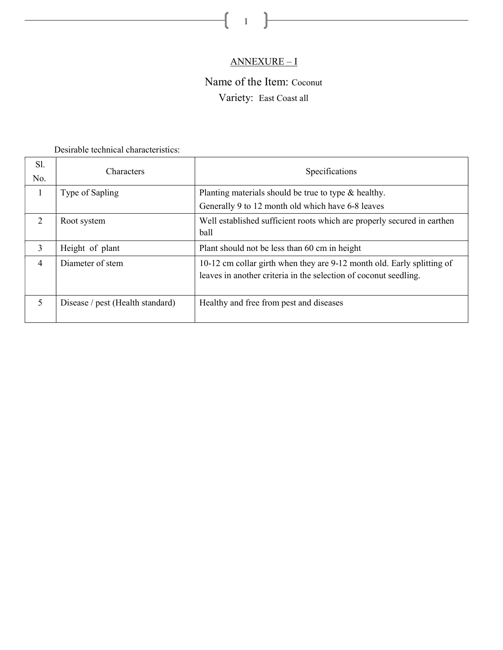## ANNEXURE – I

ſ

 $1 \quad \boxed{\qquad \qquad }$ 

# Name of the Item: Coconut

Variety: East Coast all

Desirable technical characteristics:

| Sl.<br>No.                  | <b>Characters</b>                | Specifications                                                                                                                             |
|-----------------------------|----------------------------------|--------------------------------------------------------------------------------------------------------------------------------------------|
|                             | Type of Sapling                  | Planting materials should be true to type & healthy.<br>Generally 9 to 12 month old which have 6-8 leaves                                  |
| $\mathcal{D}_{\mathcal{L}}$ | Root system                      | Well established sufficient roots which are properly secured in earthen<br>ball                                                            |
| 3                           | Height of plant                  | Plant should not be less than 60 cm in height                                                                                              |
| $\overline{4}$              | Diameter of stem                 | 10-12 cm collar girth when they are 9-12 month old. Early splitting of<br>leaves in another criteria in the selection of coconut seedling. |
| $\overline{\mathcal{L}}$    | Disease / pest (Health standard) | Healthy and free from pest and diseases                                                                                                    |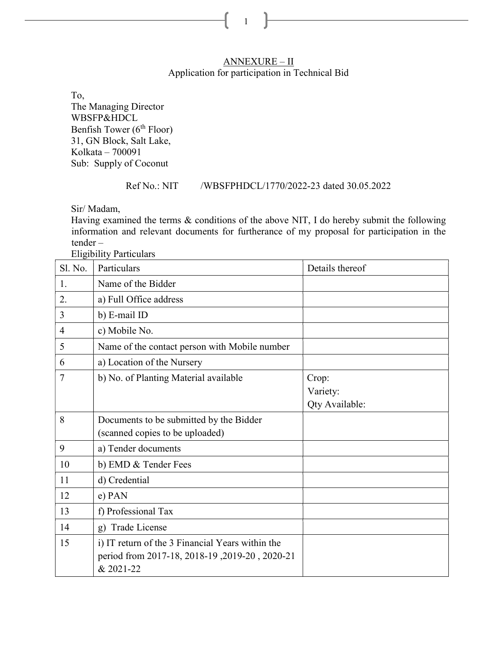$1 \quad \boxed{\qquad \qquad }$ 

#### ANNEXURE – II Application for participation in Technical Bid

To,

The Managing Director WBSFP&HDCL Benfish Tower (6<sup>th</sup> Floor) 31, GN Block, Salt Lake, Kolkata – 700091 Sub: Supply of Coconut

## Ref No.: NIT /WBSFPHDCL/1770/2022-23 dated 30.05.2022

Sir/ Madam,

Having examined the terms & conditions of the above NIT, I do hereby submit the following information and relevant documents for furtherance of my proposal for participation in the tender –

Eligibility Particulars

| Sl. No.        | Particulars                                                                                                     | Details thereof                     |
|----------------|-----------------------------------------------------------------------------------------------------------------|-------------------------------------|
| 1.             | Name of the Bidder                                                                                              |                                     |
| 2.             | a) Full Office address                                                                                          |                                     |
| 3              | b) E-mail ID                                                                                                    |                                     |
| $\overline{4}$ | c) Mobile No.                                                                                                   |                                     |
| 5              | Name of the contact person with Mobile number                                                                   |                                     |
| 6              | a) Location of the Nursery                                                                                      |                                     |
| 7              | b) No. of Planting Material available                                                                           | Crop:<br>Variety:<br>Qty Available: |
| 8              | Documents to be submitted by the Bidder<br>(scanned copies to be uploaded)                                      |                                     |
| 9              | a) Tender documents                                                                                             |                                     |
| 10             | b) EMD & Tender Fees                                                                                            |                                     |
| 11             | d) Credential                                                                                                   |                                     |
| 12             | e) PAN                                                                                                          |                                     |
| 13             | f) Professional Tax                                                                                             |                                     |
| 14             | g) Trade License                                                                                                |                                     |
| 15             | i) IT return of the 3 Financial Years within the<br>period from 2017-18, 2018-19, 2019-20, 2020-21<br>& 2021-22 |                                     |